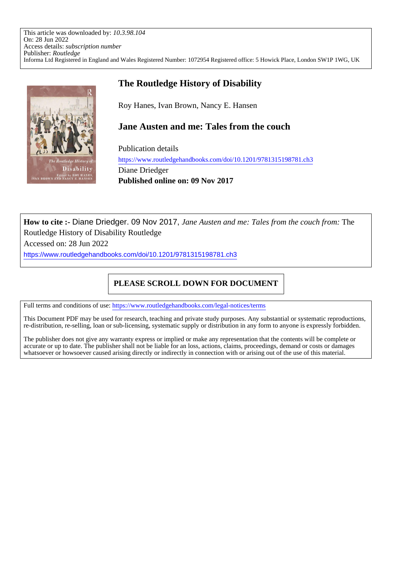This article was downloaded by: *10.3.98.104* On: 28 Jun 2022 Access details: *subscription number* Publisher: *Routledge* Informa Ltd Registered in England and Wales Registered Number: 1072954 Registered office: 5 Howick Place, London SW1P 1WG, UK



# **The Routledge History of Disability**

Roy Hanes, Ivan Brown, Nancy E. Hansen

## **Jane Austen and me: Tales from the couch**

Publication details https://www.routledgehandbooks.com/doi/10.1201/9781315198781.ch3 Diane Driedger

**Published online on: 09 Nov 2017**

**How to cite :-** Diane Driedger. 09 Nov 2017, *Jane Austen and me: Tales from the couch from:* The Routledge History of Disability Routledge

Accessed on: 28 Jun 2022

https://www.routledgehandbooks.com/doi/10.1201/9781315198781.ch3

# **PLEASE SCROLL DOWN FOR DOCUMENT**

Full terms and conditions of use: https://www.routledgehandbooks.com/legal-notices/terms

This Document PDF may be used for research, teaching and private study purposes. Any substantial or systematic reproductions, re-distribution, re-selling, loan or sub-licensing, systematic supply or distribution in any form to anyone is expressly forbidden.

The publisher does not give any warranty express or implied or make any representation that the contents will be complete or accurate or up to date. The publisher shall not be liable for an loss, actions, claims, proceedings, demand or costs or damages whatsoever or howsoever caused arising directly or indirectly in connection with or arising out of the use of this material.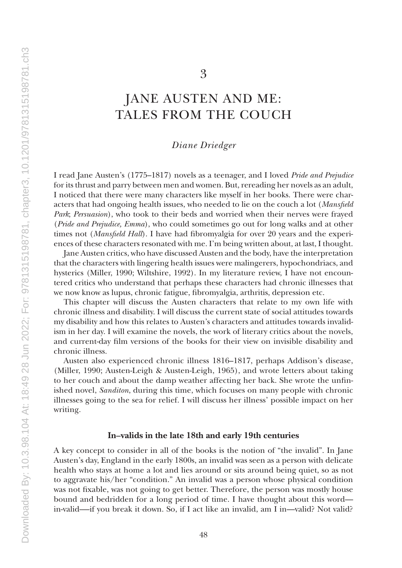# JANE AUSTEN AND ME: TALES FROM THE COUCH

3

## *Diane Driedger*

I read Jane Austen's (1775–1817) novels as a teenager, and I loved *Pride and Prejudice* for its thrust and parry between men and women. But, rereading her novels as an adult, I noticed that there were many characters like myself in her books. There were characters that had ongoing health issues, who needed to lie on the couch a lot (*Mansfield Park*; *Persuasion*), who took to their beds and worried when their nerves were frayed (*Pride and Prejudice, Emma*), who could sometimes go out for long walks and at other times not (*Mansfield Hall*). I have had fibromyalgia for over 20 years and the experiences of these characters resonated with me. I'm being written about, at last, I thought.

Jane Austen critics, who have discussed Austen and the body, have the interpretation that the characters with lingering health issues were malingerers, hypochondriacs, and hysterics (Miller, 1990; Wiltshire, 1992). In my literature review, I have not encountered critics who understand that perhaps these characters had chronic illnesses that we now know as lupus, chronic fatigue, fibromyalgia, arthritis, depression etc.

This chapter will discuss the Austen characters that relate to my own life with chronic illness and disability. I will discuss the current state of social attitudes towards my disability and how this relates to Austen's characters and attitudes towards invalidism in her day. I will examine the novels, the work of literary critics about the novels, and current-day film versions of the books for their view on invisible disability and chronic illness.

Austen also experienced chronic illness 1816–1817, perhaps Addison's disease, (Miller, 1990; Austen-Leigh & Austen-Leigh, 1965), and wrote letters about taking to her couch and about the damp weather affecting her back. She wrote the unfinished novel, *Sanditon*, during this time, which focuses on many people with chronic illnesses going to the sea for relief. I will discuss her illness' possible impact on her writing.

## **In–valids in the late 18th and early 19th centuries**

A key concept to consider in all of the books is the notion of "the invalid". In Jane Austen's day, England in the early 1800s, an invalid was seen as a person with delicate health who stays at home a lot and lies around or sits around being quiet, so as not to aggravate his/her "condition." An invalid was a person whose physical condition was not fixable, was not going to get better. Therefore, the person was mostly house bound and bedridden for a long period of time. I have thought about this word in-valid-—if you break it down. So, if I act like an invalid, am I in—valid? Not valid?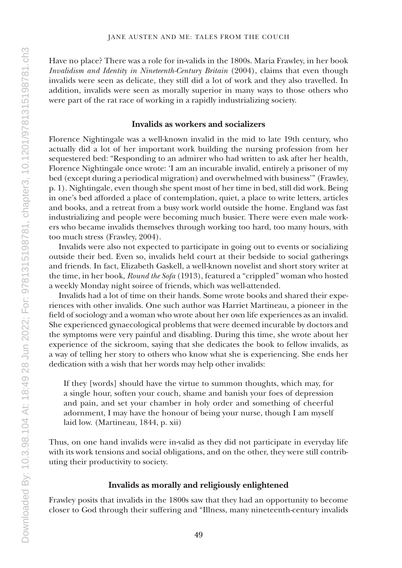Have no place? There was a role for in-valids in the 1800s. Maria Frawley, in her book *Invalidism and Identity in Nineteenth-Century Britain* (2004), claims that even though invalids were seen as delicate, they still did a lot of work and they also travelled. In addition, invalids were seen as morally superior in many ways to those others who were part of the rat race of working in a rapidly industrializing society.

## **Invalids as workers and socializers**

Florence Nightingale was a well-known invalid in the mid to late 19th century, who actually did a lot of her important work building the nursing profession from her sequestered bed: "Responding to an admirer who had written to ask after her health, Florence Nightingale once wrote: 'I am an incurable invalid, entirely a prisoner of my bed (except during a periodical migration) and overwhelmed with business'" (Frawley, p. 1). Nightingale, even though she spent most of her time in bed, still did work. Being in one's bed afforded a place of contemplation, quiet, a place to write letters, articles and books, and a retreat from a busy work world outside the home. England was fast industrializing and people were becoming much busier. There were even male workers who became invalids themselves through working too hard, too many hours, with too much stress (Frawley, 2004).

Invalids were also not expected to participate in going out to events or socializing outside their bed. Even so, invalids held court at their bedside to social gatherings and friends. In fact, Elizabeth Gaskell, a well-known novelist and short story writer at the time, in her book, *Round the Sofa* (1913), featured a "crippled" woman who hosted a weekly Monday night soiree of friends, which was well-attended.

Invalids had a lot of time on their hands. Some wrote books and shared their experiences with other invalids. One such author was Harriet Martineau, a pioneer in the field of sociology and a woman who wrote about her own life experiences as an invalid. She experienced gynaecological problems that were deemed incurable by doctors and the symptoms were very painful and disabling. During this time, she wrote about her experience of the sickroom, saying that she dedicates the book to fellow invalids, as a way of telling her story to others who know what she is experiencing. She ends her dedication with a wish that her words may help other invalids:

If they [words] should have the virtue to summon thoughts, which may, for a single hour, soften your couch, shame and banish your foes of depression and pain, and set your chamber in holy order and something of cheerful adornment, I may have the honour of being your nurse, though I am myself laid low. (Martineau, 1844, p. xii)

Thus, on one hand invalids were in-valid as they did not participate in everyday life with its work tensions and social obligations, and on the other, they were still contributing their productivity to society.

## **Invalids as morally and religiously enlightened**

Frawley posits that invalids in the 1800s saw that they had an opportunity to become closer to God through their suffering and "Illness, many nineteenth-century invalids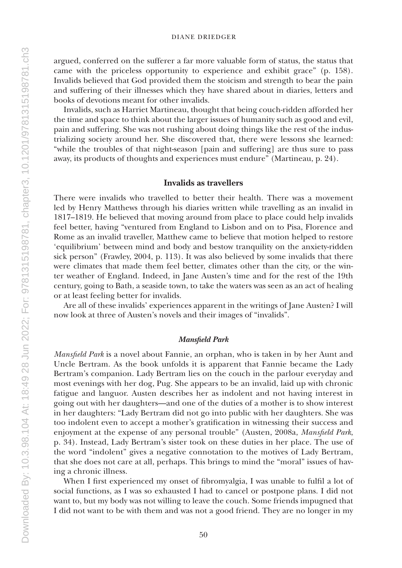#### DIANE DRIEDGER

argued, conferred on the sufferer a far more valuable form of status, the status that came with the priceless opportunity to experience and exhibit grace" (p. 158). Invalids believed that God provided them the stoicism and strength to bear the pain and suffering of their illnesses which they have shared about in diaries, letters and books of devotions meant for other invalids.

Invalids, such as Harriet Martineau, thought that being couch-ridden afforded her the time and space to think about the larger issues of humanity such as good and evil, pain and suffering. She was not rushing about doing things like the rest of the industrializing society around her. She discovered that, there were lessons she learned: "while the troubles of that night-season [pain and suffering] are thus sure to pass away, its products of thoughts and experiences must endure" (Martineau, p. 24).

## **Invalids as travellers**

There were invalids who travelled to better their health. There was a movement led by Henry Matthews through his diaries written while travelling as an invalid in 1817–1819. He believed that moving around from place to place could help invalids feel better, having "ventured from England to Lisbon and on to Pisa, Florence and Rome as an invalid traveller, Matthew came to believe that motion helped to restore 'equilibrium' between mind and body and bestow tranquility on the anxiety-ridden sick person" (Frawley, 2004, p. 113). It was also believed by some invalids that there were climates that made them feel better, climates other than the city, or the winter weather of England. Indeed, in Jane Austen's time and for the rest of the 19th century, going to Bath, a seaside town, to take the waters was seen as an act of healing or at least feeling better for invalids.

Are all of these invalids' experiences apparent in the writings of Jane Austen? I will now look at three of Austen's novels and their images of "invalids".

### *Mansfield Park*

*Mansfield Park* is a novel about Fannie, an orphan, who is taken in by her Aunt and Uncle Bertram. As the book unfolds it is apparent that Fannie became the Lady Bertram's companion. Lady Bertram lies on the couch in the parlour everyday and most evenings with her dog, Pug. She appears to be an invalid, laid up with chronic fatigue and languor. Austen describes her as indolent and not having interest in going out with her daughters—and one of the duties of a mother is to show interest in her daughters: "Lady Bertram did not go into public with her daughters. She was too indolent even to accept a mother's gratification in witnessing their success and enjoyment at the expense of any personal trouble" (Austen, 2008a, *Mansfield Park*, p. 34). Instead, Lady Bertram's sister took on these duties in her place. The use of the word "indolent" gives a negative connotation to the motives of Lady Bertram, that she does not care at all, perhaps. This brings to mind the "moral" issues of having a chronic illness.

When I first experienced my onset of fibromyalgia, I was unable to fulfil a lot of social functions, as I was so exhausted I had to cancel or postpone plans. I did not want to, but my body was not willing to leave the couch. Some friends impugned that I did not want to be with them and was not a good friend. They are no longer in my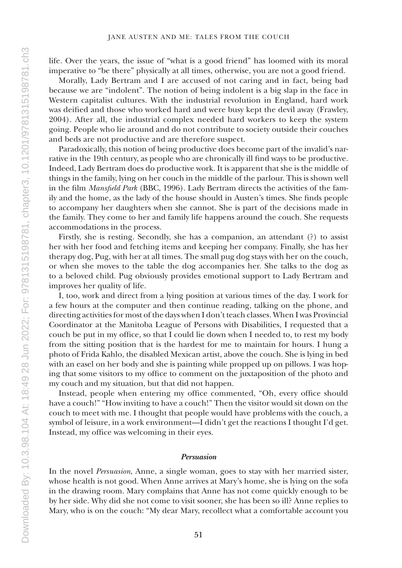life. Over the years, the issue of "what is a good friend" has loomed with its moral imperative to "be there" physically at all times, otherwise, you are not a good friend.

Morally, Lady Bertram and I are accused of not caring and in fact, being bad because we are "indolent". The notion of being indolent is a big slap in the face in Western capitalist cultures. With the industrial revolution in England, hard work was deified and those who worked hard and were busy kept the devil away (Frawley, 2004). After all, the industrial complex needed hard workers to keep the system going. People who lie around and do not contribute to society outside their couches and beds are not productive and are therefore suspect.

Paradoxically, this notion of being productive does become part of the invalid's narrative in the 19th century, as people who are chronically ill find ways to be productive. Indeed, Lady Bertram does do productive work. It is apparent that she is the middle of things in the family, lying on her couch in the middle of the parlour. This is shown well in the film *Mansfield Park* (BBC, 1996). Lady Bertram directs the activities of the family and the home, as the lady of the house should in Austen's times. She finds people to accompany her daughters when she cannot. She is part of the decisions made in the family. They come to her and family life happens around the couch. She requests accommodations in the process.

Firstly, she is resting. Secondly, she has a companion, an attendant (?) to assist her with her food and fetching items and keeping her company. Finally, she has her therapy dog, Pug, with her at all times. The small pug dog stays with her on the couch, or when she moves to the table the dog accompanies her. She talks to the dog as to a beloved child. Pug obviously provides emotional support to Lady Bertram and improves her quality of life.

I, too, work and direct from a lying position at various times of the day. I work for a few hours at the computer and then continue reading, talking on the phone, and directing activities for most of the days when I don't teach classes. When I was Provincial Coordinator at the Manitoba League of Persons with Disabilities, I requested that a couch be put in my office, so that I could lie down when I needed to, to rest my body from the sitting position that is the hardest for me to maintain for hours. I hung a photo of Frida Kahlo, the disabled Mexican artist, above the couch. She is lying in bed with an easel on her body and she is painting while propped up on pillows. I was hoping that some visitors to my office to comment on the juxtaposition of the photo and my couch and my situation, but that did not happen.

Instead, people when entering my office commented, "Oh, every office should have a couch!" "How inviting to have a couch!" Then the visitor would sit down on the couch to meet with me. I thought that people would have problems with the couch, a symbol of leisure, in a work environment—I didn't get the reactions I thought I'd get. Instead, my office was welcoming in their eyes.

## *Persuasion*

In the novel *Persuasion*, Anne, a single woman, goes to stay with her married sister, whose health is not good. When Anne arrives at Mary's home, she is lying on the sofa in the drawing room. Mary complains that Anne has not come quickly enough to be by her side. Why did she not come to visit sooner, she has been so ill? Anne replies to Mary, who is on the couch: "My dear Mary, recollect what a comfortable account you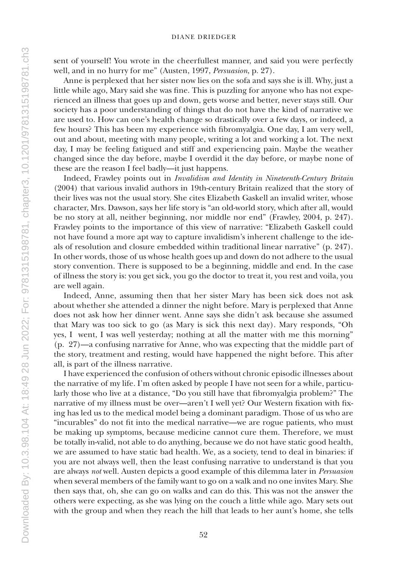#### DIANE DRIEDGER

sent of yourself! You wrote in the cheerfullest manner, and said you were perfectly well, and in no hurry for me" (Austen, 1997, *Persuasion*, p. 27).

Anne is perplexed that her sister now lies on the sofa and says she is ill. Why, just a little while ago, Mary said she was fine. This is puzzling for anyone who has not experienced an illness that goes up and down, gets worse and better, never stays still. Our society has a poor understanding of things that do not have the kind of narrative we are used to. How can one's health change so drastically over a few days, or indeed, a few hours? This has been my experience with fibromyalgia. One day, I am very well, out and about, meeting with many people, writing a lot and working a lot. The next day, I may be feeling fatigued and stiff and experiencing pain. Maybe the weather changed since the day before, maybe I overdid it the day before, or maybe none of these are the reason I feel badly—it just happens.

Indeed, Frawley points out in *Invalidism and Identity in Nineteenth-Century Britain* (2004) that various invalid authors in 19th-century Britain realized that the story of their lives was not the usual story. She cites Elizabeth Gaskell an invalid writer, whose character, Mrs. Dawson, says her life story is "an old-world story, which after all, would be no story at all, neither beginning, nor middle nor end" (Frawley, 2004, p. 247). Frawley points to the importance of this view of narrative: "Elizabeth Gaskell could not have found a more apt way to capture invalidism's inherent challenge to the ideals of resolution and closure embedded within traditional linear narrative" (p. 247). In other words, those of us whose health goes up and down do not adhere to the usual story convention. There is supposed to be a beginning, middle and end. In the case of illness the story is: you get sick, you go the doctor to treat it, you rest and voila, you are well again.

Indeed, Anne, assuming then that her sister Mary has been sick does not ask about whether she attended a dinner the night before. Mary is perplexed that Anne does not ask how her dinner went. Anne says she didn't ask because she assumed that Mary was too sick to go (as Mary is sick this next day). Mary responds, "Oh yes, I went, I was well yesterday; nothing at all the matter with me this morning" (p. 27)—a confusing narrative for Anne, who was expecting that the middle part of the story, treatment and resting, would have happened the night before. This after all, is part of the illness narrative.

I have experienced the confusion of others without chronic episodic illnesses about the narrative of my life. I'm often asked by people I have not seen for a while, particularly those who live at a distance, "Do you still have that fibromyalgia problem?" The narrative of my illness must be over—aren't I well yet? Our Western fixation with fixing has led us to the medical model being a dominant paradigm. Those of us who are "incurables" do not fit into the medical narrative—we are rogue patients, who must be making up symptoms, because medicine cannot cure them. Therefore, we must be totally in-valid, not able to do anything, because we do not have static good health, we are assumed to have static bad health. We, as a society, tend to deal in binaries: if you are not always well, then the least confusing narrative to understand is that you are always *not* well. Austen depicts a good example of this dilemma later in *Persuasion* when several members of the family want to go on a walk and no one invites Mary. She then says that, oh, she can go on walks and can do this. This was not the answer the others were expecting, as she was lying on the couch a little while ago. Mary sets out with the group and when they reach the hill that leads to her aunt's home, she tells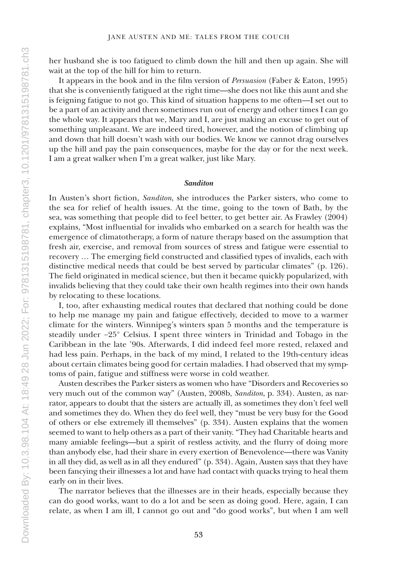her husband she is too fatigued to climb down the hill and then up again. She will wait at the top of the hill for him to return.

It appears in the book and in the film version of *Persuasion* (Faber & Eaton, 1995) that she is conveniently fatigued at the right time—she does not like this aunt and she is feigning fatigue to not go. This kind of situation happens to me often—I set out to be a part of an activity and then sometimes run out of energy and other times I can go the whole way. It appears that we, Mary and I, are just making an excuse to get out of something unpleasant. We are indeed tired, however, and the notion of climbing up and down that hill doesn't wash with our bodies. We know we cannot drag ourselves up the hill and pay the pain consequences, maybe for the day or for the next week. I am a great walker when I'm a great walker, just like Mary.

#### *Sanditon*

In Austen's short fiction, *Sanditon*, she introduces the Parker sisters, who come to the sea for relief of health issues. At the time, going to the town of Bath, by the sea, was something that people did to feel better, to get better air. As Frawley (2004) explains, "Most influential for invalids who embarked on a search for health was the emergence of climatotherapy, a form of nature therapy based on the assumption that fresh air, exercise, and removal from sources of stress and fatigue were essential to recovery … The emerging field constructed and classified types of invalids, each with distinctive medical needs that could be best served by particular climates" (p. 126). The field originated in medical science, but then it became quickly popularized, with invalids believing that they could take their own health regimes into their own hands by relocating to these locations.

I, too, after exhausting medical routes that declared that nothing could be done to help me manage my pain and fatigue effectively, decided to move to a warmer climate for the winters. Winnipeg's winters span 5 months and the temperature is steadily under −25° Celsius. I spent three winters in Trinidad and Tobago in the Caribbean in the late '90s. Afterwards, I did indeed feel more rested, relaxed and had less pain. Perhaps, in the back of my mind, I related to the 19th-century ideas about certain climates being good for certain maladies. I had observed that my symptoms of pain, fatigue and stiffness were worse in cold weather.

Austen describes the Parker sisters as women who have "Disorders and Recoveries so very much out of the common way" (Austen, 2008b, *Sanditon*, p. 334). Austen, as narrator, appears to doubt that the sisters are actually ill, as sometimes they don't feel well and sometimes they do. When they do feel well, they "must be very busy for the Good of others or else extremely ill themselves" (p. 334). Austen explains that the women seemed to want to help others as a part of their vanity. "They had Charitable hearts and many amiable feelings—but a spirit of restless activity, and the flurry of doing more than anybody else, had their share in every exertion of Benevolence—there was Vanity in all they did, as well as in all they endured" (p. 334). Again, Austen says that they have been fancying their illnesses a lot and have had contact with quacks trying to heal them early on in their lives.

The narrator believes that the illnesses are in their heads, especially because they can do good works, want to do a lot and be seen as doing good. Here, again, I can relate, as when I am ill, I cannot go out and "do good works", but when I am well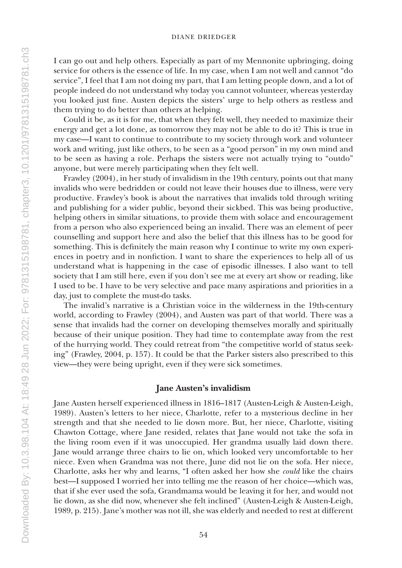#### DIANE DRIEDGER

I can go out and help others. Especially as part of my Mennonite upbringing, doing service for others is the essence of life. In my case, when I am not well and cannot "do service", I feel that I am not doing my part, that I am letting people down, and a lot of people indeed do not understand why today you cannot volunteer, whereas yesterday you looked just fine. Austen depicts the sisters' urge to help others as restless and them trying to do better than others at helping.

Could it be, as it is for me, that when they felt well, they needed to maximize their energy and get a lot done, as tomorrow they may not be able to do it? This is true in my case—I want to continue to contribute to my society through work and volunteer work and writing, just like others, to be seen as a "good person" in my own mind and to be seen as having a role. Perhaps the sisters were not actually trying to "outdo" anyone, but were merely participating when they felt well.

Frawley (2004), in her study of invalidism in the 19th century, points out that many invalids who were bedridden or could not leave their houses due to illness, were very productive. Frawley's book is about the narratives that invalids told through writing and publishing for a wider public, beyond their sickbed. This was being productive, helping others in similar situations, to provide them with solace and encouragement from a person who also experienced being an invalid. There was an element of peer counselling and support here and also the belief that this illness has to be good for something. This is definitely the main reason why I continue to write my own experiences in poetry and in nonfiction. I want to share the experiences to help all of us understand what is happening in the case of episodic illnesses. I also want to tell society that I am still here, even if you don't see me at every art show or reading, like I used to be. I have to be very selective and pace many aspirations and priorities in a day, just to complete the must-do tasks.

The invalid's narrative is a Christian voice in the wilderness in the 19th-century world, according to Frawley (2004), and Austen was part of that world. There was a sense that invalids had the corner on developing themselves morally and spiritually because of their unique position. They had time to contemplate away from the rest of the hurrying world. They could retreat from "the competitive world of status seeking" (Frawley, 2004, p. 157). It could be that the Parker sisters also prescribed to this view—they were being upright, even if they were sick sometimes.

## **Jane Austen's invalidism**

Jane Austen herself experienced illness in 1816–1817 (Austen-Leigh & Austen-Leigh, 1989). Austen's letters to her niece, Charlotte, refer to a mysterious decline in her strength and that she needed to lie down more. But, her niece, Charlotte, visiting Chawton Cottage, where Jane resided, relates that Jane would not take the sofa in the living room even if it was unoccupied. Her grandma usually laid down there. Jane would arrange three chairs to lie on, which looked very uncomfortable to her niece. Even when Grandma was not there, June did not lie on the sofa. Her niece, Charlotte, asks her why and learns, "I often asked her how she *could* like the chairs best—I supposed I worried her into telling me the reason of her choice—which was, that if she ever used the sofa, Grandmama would be leaving it for her, and would not lie down, as she did now, whenever she felt inclined" (Austen-Leigh & Austen-Leigh, 1989, p. 215). Jane's mother was not ill, she was elderly and needed to rest at different